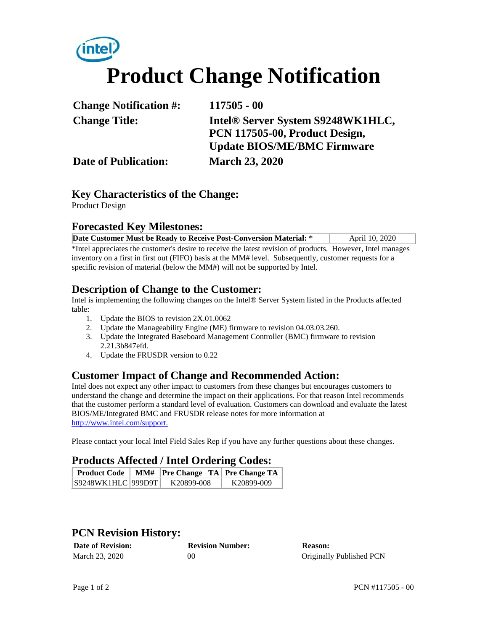# **Product Change Notification**

| <b>Change Notification #:</b> | $117505 - 00$                      |
|-------------------------------|------------------------------------|
| <b>Change Title:</b>          | Intel® Server System S9248WK1HLC,  |
|                               | PCN 117505-00, Product Design,     |
|                               | <b>Update BIOS/ME/BMC Firmware</b> |
| <b>Date of Publication:</b>   | <b>March 23, 2020</b>              |

### **Key Characteristics of the Change:**

Product Design

#### **Forecasted Key Milestones:**

| Date Customer Must be Ready to Receive Post-Conversion Material: * | April 10, 2020 |
|--------------------------------------------------------------------|----------------|
|                                                                    |                |

\*Intel appreciates the customer's desire to receive the latest revision of products. However, Intel manages inventory on a first in first out (FIFO) basis at the MM# level. Subsequently, customer requests for a specific revision of material (below the MM#) will not be supported by Intel.

#### **Description of Change to the Customer:**

Intel is implementing the following changes on the Intel® Server System listed in the Products affected table:

- 1. Update the BIOS to revision 2X.01.0062
- 2. Update the Manageability Engine (ME) firmware to revision 04.03.03.260.
- 3. Update the Integrated Baseboard Management Controller (BMC) firmware to revision 2.21.3b847efd.
- 4. Update the FRUSDR version to 0.22

# **Customer Impact of Change and Recommended Action:**

Intel does not expect any other impact to customers from these changes but encourages customers to understand the change and determine the impact on their applications. For that reason Intel recommends that the customer perform a standard level of evaluation. Customers can download and evaluate the latest BIOS/ME/Integrated BMC and FRUSDR release notes for more information at http://www.intel.com/support.

Please contact your local Intel Field Sales Rep if you have any further questions about these changes.

#### **Products Affected / Intel Ordering Codes:**

| <b>Product Code</b> | MM#   Pre Change TA   Pre Change TA |            |
|---------------------|-------------------------------------|------------|
| S9248WK1HLC 999D9T  | K20899-008                          | K20899-009 |

# **PCN Revision History:**

| <b>Date of Revision:</b> | <b>Revision Number:</b> | <b>Reason:</b>           |
|--------------------------|-------------------------|--------------------------|
| March 23, 2020           | 00                      | Originally Published PCN |